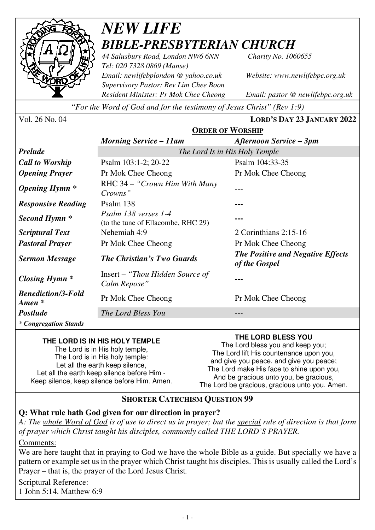

## *NEW LIFE BIBLE-PRESBYTERIAN CHURCH*

*44 Salusbury Road, London NW6 6NN Charity No. 1060655 Tel: 020 7328 0869 (Manse) Email: newlifebplondon @ yahoo.co.uk Website: www.newlifebpc.org.uk Supervisory Pastor: Rev Lim Chee Boon Resident Minister: Pr Mok Chee Cheong Email: pastor @ newlifebpc.org.uk* 

*"For the Word of God and for the testimony of Jesus Christ" (Rev 1:9)*

Vol. 26 No. 04 **LORD'S DAY 23 JANUARY 2022**

|                                                 | <b>ORDER OF WORSHIP</b>                                    |                                                           |  |
|-------------------------------------------------|------------------------------------------------------------|-----------------------------------------------------------|--|
|                                                 | <b>Morning Service – 11am</b>                              | Afternoon Service – 3pm                                   |  |
| <b>Prelude</b>                                  | The Lord Is in His Holy Temple                             |                                                           |  |
| <b>Call to Worship</b>                          | Psalm 103:1-2; 20-22                                       | Psalm 104:33-35                                           |  |
| <b>Opening Prayer</b>                           | Pr Mok Chee Cheong                                         | Pr Mok Chee Cheong                                        |  |
| <i><b>Opening Hymn</b></i> *                    | RHC 34 – "Crown Him With Many"<br>Crowns"                  |                                                           |  |
| <b>Responsive Reading</b>                       | Psalm 138                                                  |                                                           |  |
| Second Hymn <sup>*</sup>                        | Psalm 138 verses 1-4<br>(to the tune of Ellacombe, RHC 29) |                                                           |  |
| <i>Scriptural Text</i>                          | Nehemiah 4:9                                               | 2 Corinthians $2:15-16$                                   |  |
| <b>Pastoral Prayer</b>                          | Pr Mok Chee Cheong                                         | Pr Mok Chee Cheong                                        |  |
| <b>Sermon Message</b>                           | <b>The Christian's Two Guards</b>                          | <b>The Positive and Negative Effects</b><br>of the Gospel |  |
| <b>Closing Hymn</b> *                           | Insert – "Thou Hidden Source of<br>Calm Repose"            |                                                           |  |
| <b>Benediction/3-Fold</b><br>$A$ <i>men</i> $*$ | Pr Mok Chee Cheong                                         | Pr Mok Chee Cheong                                        |  |
| <b>Postlude</b>                                 | The Lord Bless You                                         |                                                           |  |
| <i>* Congregation Stands</i>                    |                                                            |                                                           |  |

#### **THE LORD IS IN HIS HOLY TEMPLE**

The Lord is in His holy temple, The Lord is in His holy temple: Let all the earth keep silence, Let all the earth keep silence before Him - Keep silence, keep silence before Him. Amen. **THE LORD BLESS YOU** 

The Lord bless you and keep you; The Lord lift His countenance upon you, and give you peace, and give you peace; The Lord make His face to shine upon you, And be gracious unto you, be gracious, The Lord be gracious, gracious unto you. Amen.

#### **SHORTER CATECHISM QUESTION 99**

#### **Q: What rule hath God given for our direction in prayer?**

*A: The whole Word of God is of use to direct us in prayer; but the special rule of direction is that form of prayer which Christ taught his disciples, commonly called THE LORD'S PRAYER.* 

Comments:

We are here taught that in praying to God we have the whole Bible as a guide. But specially we have a pattern or example set us in the prayer which Christ taught his disciples. This is usually called the Lord's Prayer – that is, the prayer of the Lord Jesus Christ*.*

Scriptural Reference: 1 John 5:14. Matthew 6:9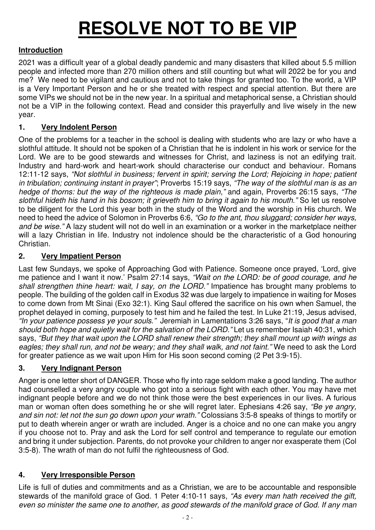# **RESOLVE NOT TO BE VIP**

#### **Introduction**

2021 was a difficult year of a global deadly pandemic and many disasters that killed about 5.5 million people and infected more than 270 million others and still counting but what will 2022 be for you and me? We need to be vigilant and cautious and not to take things for granted too. To the world, a VIP is a Very Important Person and he or she treated with respect and special attention. But there are some VIPs we should not be in the new year. In a spiritual and metaphorical sense, a Christian should not be a VIP in the following context. Read and consider this prayerfully and live wisely in the new year.

#### **1. Very Indolent Person**

One of the problems for a teacher in the school is dealing with students who are lazy or who have a slothful attitude. It should not be spoken of a Christian that he is indolent in his work or service for the Lord. We are to be good stewards and witnesses for Christ, and laziness is not an edifying trait. Industry and hard-work and heart-work should characterise our conduct and behaviour. Romans 12:11-12 says, *"Not slothful in business; fervent in spirit; serving the Lord; Rejoicing in hope; patient in tribulation; continuing instant in prayer"*; Proverbs 15:19 says, *"The way of the slothful man is as an hedge of thorns: but the way of the righteous is made plain,"* and again, Proverbs 26:15 says, *"The slothful hideth his hand in his bosom; it grieveth him to bring it again to his mouth."* So let us resolve to be diligent for the Lord this year both in the study of the Word and the worship in His church. We need to heed the advice of Solomon in Proverbs 6:6, *"Go to the ant, thou sluggard; consider her ways, and be wise."* A lazy student will not do well in an examination or a worker in the marketplace neither will a lazy Christian in life. Industry not indolence should be the characteristic of a God honouring Christian.

#### **2. Very Impatient Person**

Last few Sundays, we spoke of Approaching God with Patience. Someone once prayed, 'Lord, give me patience and I want it now.' Psalm 27:14 says, *"Wait on the LORD: be of good courage, and he shall strengthen thine heart: wait, I say, on the LORD."* Impatience has brought many problems to people. The building of the golden calf in Exodus 32 was due largely to impatience in waiting for Moses to come down from Mt Sinai (Exo 32:1). King Saul offered the sacrifice on his own when Samuel, the prophet delayed in coming, purposely to test him and he failed the test. In Luke 21:19, Jesus advised, *"In your patience possess ye your souls."* Jeremiah in Lamentations 3:26 says, "*It is good that a man should both hope and quietly wait for the salvation of the LORD."* Let us remember Isaiah 40:31, which says, *"But they that wait upon the LORD shall renew their strength; they shall mount up with wings as eagles; they shall run, and not be weary; and they shall walk, and not faint."* We need to ask the Lord for greater patience as we wait upon Him for His soon second coming (2 Pet 3:9-15).

#### **3. Very Indignant Person**

Anger is one letter short of DANGER. Those who fly into rage seldom make a good landing. The author had counselled a very angry couple who got into a serious fight with each other. You may have met indignant people before and we do not think those were the best experiences in our lives. A furious man or woman often does something he or she will regret later. Ephesians 4:26 say, *"Be ye angry, and sin not: let not the sun go down upon your wrath."* Colossians 3:5-8 speaks of things to mortify or put to death wherein anger or wrath are included. Anger is a choice and no one can make you angry if you choose not to. Pray and ask the Lord for self control and temperance to regulate our emotion and bring it under subjection. Parents, do not provoke your children to anger nor exasperate them (Col 3:5-8). The wrath of man do not fulfil the righteousness of God.

#### **4. Very Irresponsible Person**

Life is full of duties and commitments and as a Christian, we are to be accountable and responsible stewards of the manifold grace of God. 1 Peter 4:10-11 says, *"As every man hath received the gift, even so minister the same one to another, as good stewards of the manifold grace of God. If any man*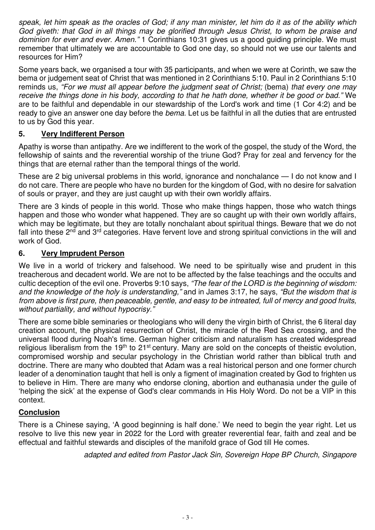*speak, let him speak as the oracles of God; if any man minister, let him do it as of the ability which God giveth: that God in all things may be glorified through Jesus Christ, to whom be praise and dominion for ever and ever. Amen."* 1 Corinthians 10:31 gives us a good guiding principle. We must remember that ultimately we are accountable to God one day, so should not we use our talents and resources for Him?

Some years back, we organised a tour with 35 participants, and when we were at Corinth, we saw the bema or judgement seat of Christ that was mentioned in 2 Corinthians 5:10. Paul in 2 Corinthians 5:10 reminds us, *"For we must all appear before the judgment seat of Christ;* (bema) *that every one may receive the things done in his body, according to that he hath done, whether it be good or bad."* We are to be faithful and dependable in our stewardship of the Lord's work and time (1 Cor 4:2) and be ready to give an answer one day before the *bema*. Let us be faithful in all the duties that are entrusted to us by God this year.

#### **5. Very Indifferent Person**

Apathy is worse than antipathy. Are we indifferent to the work of the gospel, the study of the Word, the fellowship of saints and the reverential worship of the triune God? Pray for zeal and fervency for the things that are eternal rather than the temporal things of the world.

These are 2 big universal problems in this world, ignorance and nonchalance — I do not know and I do not care. There are people who have no burden for the kingdom of God, with no desire for salvation of souls or prayer, and they are just caught up with their own worldly affairs.

There are 3 kinds of people in this world. Those who make things happen, those who watch things happen and those who wonder what happened. They are so caught up with their own worldly affairs, which may be legitimate, but they are totally nonchalant about spiritual things. Beware that we do not fall into these 2<sup>nd</sup> and 3<sup>rd</sup> categories. Have fervent love and strong spiritual convictions in the will and work of God.

#### **6. Very Imprudent Person**

We live in a world of trickery and falsehood. We need to be spiritually wise and prudent in this treacherous and decadent world. We are not to be affected by the false teachings and the occults and cultic deception of the evil one. Proverbs 9:10 says, *"The fear of the LORD is the beginning of wisdom: and the knowledge of the holy is understanding,"* and in James 3:17, he says, *"But the wisdom that is from above is first pure, then peaceable, gentle, and easy to be intreated, full of mercy and good fruits, without partiality, and without hypocrisy."*

There are some bible seminaries or theologians who will deny the virgin birth of Christ, the 6 literal day creation account, the physical resurrection of Christ, the miracle of the Red Sea crossing, and the universal flood during Noah's time. German higher criticism and naturalism has created widespread religious liberalism from the 19<sup>th</sup> to 21<sup>st</sup> century. Many are sold on the concepts of theistic evolution, compromised worship and secular psychology in the Christian world rather than biblical truth and doctrine. There are many who doubted that Adam was a real historical person and one former church leader of a denomination taught that hell is only a figment of imagination created by God to frighten us to believe in Him. There are many who endorse cloning, abortion and euthanasia under the guile of 'helping the sick' at the expense of God's clear commands in His Holy Word. Do not be a VIP in this context.

#### **Conclusion**

There is a Chinese saying, 'A good beginning is half done.' We need to begin the year right. Let us resolve to live this new year in 2022 for the Lord with greater reverential fear, faith and zeal and be effectual and faithful stewards and disciples of the manifold grace of God till He comes.

*adapted and edited from Pastor Jack Sin, Sovereign Hope BP Church, Singapore*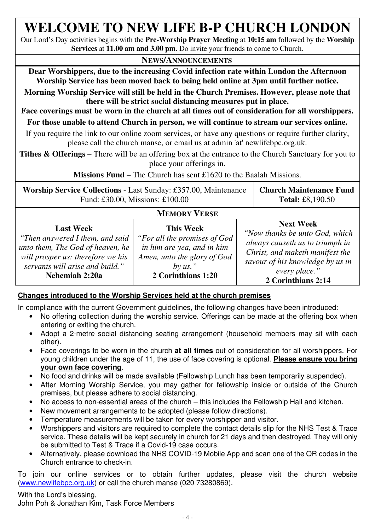### **WELCOME TO NEW LIFE B-P CHURCH LONDON**

Our Lord's Day activities begins with the **Pre-Worship Prayer Meeting** at **10:15 am** followed by the **Worship Services** at **11.00 am and 3.00 pm**. Do invite your friends to come to Church.

#### **NEWS/ANNOUNCEMENTS**

**Dear Worshippers, due to the increasing Covid infection rate within London the Afternoon Worship Service has been moved back to being held online at 3pm until further notice.** 

**Morning Worship Service will still be held in the Church Premises. However, please note that there will be strict social distancing measures put in place.** 

**Face coverings must be worn in the church at all times out of consideration for all worshippers.**

**For those unable to attend Church in person, we will continue to stream our services online.**

If you require the link to our online zoom services, or have any questions or require further clarity, please call the church manse, or email us at admin 'at' newlifebpc.org.uk.

**Tithes & Offerings** – There will be an offering box at the entrance to the Church Sanctuary for you to place your offerings in.

**Missions Fund** – The Church has sent £1620 to the Baalah Missions.

| Worship Service Collections - Last Sunday: £357.00, Maintenance   Church Maintenance Fund |                         |
|-------------------------------------------------------------------------------------------|-------------------------|
| Fund: £30.00, Missions: £100.00                                                           | <b>Total:</b> £8,190.50 |

#### **MEMORY VERSE**

| <b>Last Week</b>                  | <b>This Week</b>             | <b>Next Week</b>                 |
|-----------------------------------|------------------------------|----------------------------------|
| "Then answered I them, and said   | "For all the promises of God | "Now thanks be unto God, which   |
| unto them, The God of heaven, he  | in him are yea, and in him   | always causeth us to triumph in  |
| will prosper us: therefore we his | Amen, unto the glory of God  | Christ, and maketh manifest the  |
| servants will arise and build."   | by us."                      | savour of his knowledge by us in |
| Nehemiah 2:20a                    | 2 Corinthians 1:20           | every place."                    |
|                                   |                              | 2 Corinthians 2:14               |

#### **Changes introduced to the Worship Services held at the church premises**

In compliance with the current Government guidelines, the following changes have been introduced:

- No offering collection during the worship service. Offerings can be made at the offering box when entering or exiting the church.
- Adopt a 2-metre social distancing seating arrangement (household members may sit with each other).
- Face coverings to be worn in the church **at all times** out of consideration for all worshippers. For young children under the age of 11, the use of face covering is optional. **Please ensure you bring your own face covering**.
- No food and drinks will be made available (Fellowship Lunch has been temporarily suspended).
- After Morning Worship Service, you may gather for fellowship inside or outside of the Church premises, but please adhere to social distancing.
- No access to non-essential areas of the church this includes the Fellowship Hall and kitchen.
- New movement arrangements to be adopted (please follow directions).
- Temperature measurements will be taken for every worshipper and visitor.
- Worshippers and visitors are required to complete the contact details slip for the NHS Test & Trace service. These details will be kept securely in church for 21 days and then destroyed. They will only be submitted to Test & Trace if a Covid-19 case occurs.
- Alternatively, please download the NHS COVID-19 Mobile App and scan one of the QR codes in the Church entrance to check-in.

To join our online services or to obtain further updates, please visit the church website (www.newlifebpc.org.uk) or call the church manse (020 73280869).

With the Lord's blessing, John Poh & Jonathan Kim, Task Force Members